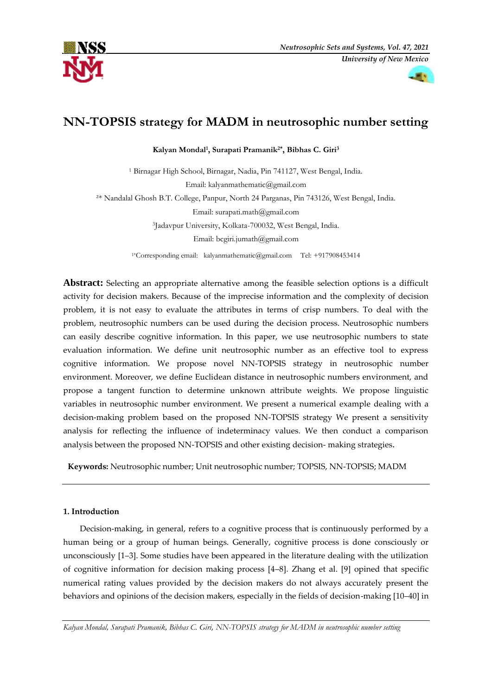



# **NN-TOPSIS strategy for MADM in neutrosophic number setting**

**Kalyan Mondal<sup>1</sup> , Surapati Pramanik2\* , Bibhas C. Giri<sup>3</sup>**

<sup>1</sup> Birnagar High School, Birnagar, Nadia, Pin 741127, West Bengal, India. Email: [kalyanmathematic@gmail.com](mailto:kalyanmathematic@gmail.com) ²\* Nandalal Ghosh B.T. College, Panpur, North 24 Parganas, Pin 743126, West Bengal, India. Email: surapati.math@gmail.com 3 Jadavpur University, Kolkata-700032, West Bengal, India. Email: bcgiri.jumath@gmail.com

1\*Corresponding email: [kalyanmathematic@gmail.com](mailto:kalyanmathematic@gmail.com) Tel: +917908453414

**Abstract:** Selecting an appropriate alternative among the feasible selection options is a difficult activity for decision makers. Because of the imprecise information and the complexity of decision problem, it is not easy to evaluate the attributes in terms of crisp numbers. To deal with the problem, neutrosophic numbers can be used during the decision process. Neutrosophic numbers can easily describe cognitive information. In this paper, we use neutrosophic numbers to state evaluation information. We define unit neutrosophic number as an effective tool to express cognitive information. We propose novel NN-TOPSIS strategy in neutrosophic number environment. Moreover, we define Euclidean distance in neutrosophic numbers environment, and propose a tangent function to determine unknown attribute weights. We propose linguistic variables in neutrosophic number environment. We present a numerical example dealing with a decision-making problem based on the proposed NN-TOPSIS strategy We present a sensitivity analysis for reflecting the influence of indeterminacy values. We then conduct a comparison analysis between the proposed NN-TOPSIS and other existing decision- making strategies.

**Keywords:** Neutrosophic number; Unit neutrosophic number; TOPSIS, NN-TOPSIS; MADM

# **1. Introduction**

 Decision-making, in general, refers to a cognitive process that is continuously performed by a human being or a group of human beings. Generally, cognitive process is done consciously or unconsciously [1–3]. Some studies have been appeared in the literature dealing with the utilization of cognitive information for decision making process [4–8]. Zhang et al. [9] opined that specific numerical rating values provided by the decision makers do not always accurately present the behaviors and opinions of the decision makers, especially in the fields of decision-making [10–40] in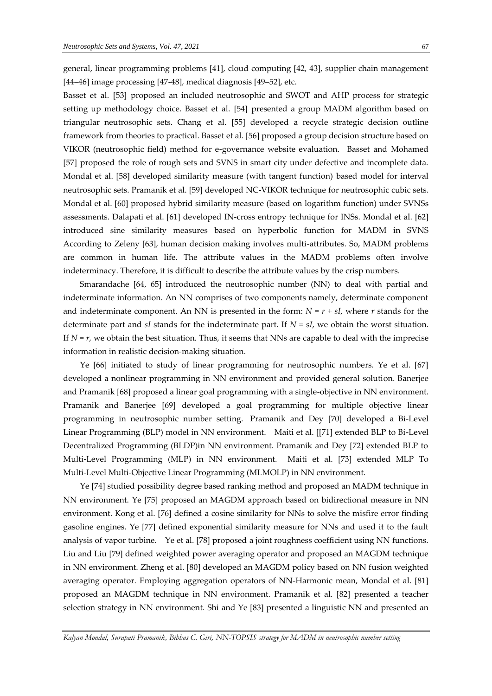general, linear programming problems [41], cloud computing [42, 43], supplier chain management [44–46] image processing [47-48], medical diagnosis [49–52], etc.

Basset et al. [53] proposed an included neutrosophic and SWOT and AHP process for strategic setting up methodology choice. Basset et al. [54] presented a group MADM algorithm based on triangular neutrosophic sets. Chang et al. [55] developed a recycle strategic decision outline framework from theories to practical. Basset et al. [56] proposed a group decision structure based on VIKOR (neutrosophic field) method for e-governance website evaluation. Basset and Mohamed [57] proposed the role of rough sets and SVNS in smart city under defective and incomplete data. Mondal et al. [58] developed similarity measure (with tangent function) based model for interval neutrosophic sets. Pramanik et al. [59] developed [NC-VIKOR technique for neutrosophic cubic sets.](javascript:void(0)) Mondal et al. [60] proposed [hybrid similarity measure \(based on](javascript:void(0)) logarithm function) under SVNSs [assessments.](javascript:void(0)) Dalapati et al. [61] developed [IN-cross entropy technique for INSs.](javascript:void(0)) Mondal et al. [62] introduced [sine similarity measures based on hyperbolic function for MADM in SVNS](javascript:void(0))  According to Zeleny [63], human decision making involves multi-attributes. So, MADM problems are common in human life. The attribute values in the MADM problems often involve indeterminacy. Therefore, it is difficult to describe the attribute values by the crisp numbers.

 Smarandache [64, 65] introduced the neutrosophic number (NN) to deal with partial and indeterminate information. An NN comprises of two components namely, determinate component and indeterminate component. An NN is presented in the form:  $N = r + sI$ , where *r* stands for the determinate part and  $sI$  stands for the indeterminate part. If  $N = sI$ , we obtain the worst situation. If  $N = r$ , we obtain the best situation. Thus, it seems that NNs are capable to deal with the imprecise information in realistic decision-making situation.

 Ye [66] initiated to study of linear programming for neutrosophic numbers. Ye et al. [67] developed a nonlinear programming in NN environment and provided general solution. Banerjee and Pramanik [68] proposed a linear goal programming with a single-objective in NN environment. Pramanik and Banerjee [69] developed a goal programming for multiple objective linear programming in neutrosophic number setting. Pramanik and Dey [70] developed a Bi-Level Linear Programming (BLP) model in NN environment. Maiti et al. [[71] extended BLP to Bi-Level Decentralized Programming (BLDP)in NN environment. Pramanik and Dey [72] extended BLP to Multi-Level Programming (MLP) in NN environment. Maiti et al. [73] extended MLP To Multi-Level Multi-Objective Linear Programming (MLMOLP) in NN environment.

 Ye [74] studied possibility degree based ranking method and proposed an MADM technique in NN environment. Ye [75] proposed an MAGDM approach based on bidirectional measure in NN environment. Kong et al. [76] defined a cosine similarity for NNs to solve the misfire error finding gasoline engines. Ye [77] defined exponential similarity measure for NNs and used it to the fault analysis of vapor turbine. Ye et al. [78] proposed a joint roughness coefficient using NN functions. Liu and Liu [79] defined weighted power averaging operator and proposed an MAGDM technique in NN environment. Zheng et al. [80] developed an MAGDM policy based on NN fusion weighted averaging operator. Employing aggregation operators of NN-Harmonic mean, Mondal et al. [81] proposed an MAGDM technique in NN environment. Pramanik et al. [82] presented a teacher selection strategy in NN environment. Shi and Ye [83] presented a linguistic NN and presented an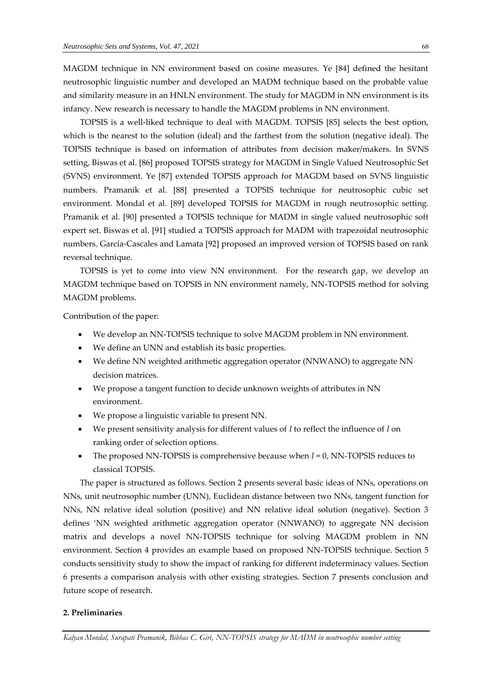MAGDM technique in NN environment based on cosine measures. Ye [84] defined the hesitant neutrosophic linguistic number and developed an MADM technique based on the probable value and similarity measure in an HNLN environment. The study for MAGDM in NN environment is its infancy. New research is necessary to handle the MAGDM problems in NN environment.

 TOPSIS is a well-liked technique to deal with MAGDM. TOPSIS [85] selects the best option, which is the nearest to the solution (ideal) and the farthest from the solution (negative ideal). The TOPSIS technique is based on information of attributes from decision maker/makers. In SVNS setting, Biswas et al. [86] proposed TOPSIS strategy for MAGDM in Single Valued Neutrosophic Set (SVNS) environment. Ye [87] extended TOPSIS approach for MAGDM based on SVNS linguistic numbers. Pramanik et al. [88] presented a TOPSIS technique for neutrosophic cubic set environment. Mondal et al. [89] developed TOPSIS for MAGDM in rough neutrosophic setting. Pramanik et al. [90] presented a TOPSIS technique for MADM in single valued neutrosophic soft expert set. Biswas et al. [91] studied a TOPSIS approach for MADM with trapezoidal neutrosophic numbers. García-Cascales and Lamata [92] proposed an improved version of TOPSIS based on rank reversal technique.

 TOPSIS is yet to come into view NN environment. For the research gap, we develop an MAGDM technique based on TOPSIS in NN environment namely, NN-TOPSIS method for solving MAGDM problems.

Contribution of the paper:

- We develop an NN-TOPSIS technique to solve MAGDM problem in NN environment.
- We define an UNN and establish its basic properties.
- We define NN weighted arithmetic aggregation operator (NNWANO) to aggregate NN decision matrices.
- We propose a tangent function to decide unknown weights of attributes in NN environment.
- We propose a linguistic variable to present NN.
- We present sensitivity analysis for different values of *I* to reflect the influence of *I* on ranking order of selection options.
- The proposed NN-TOPSIS is comprehensive because when *I* = 0, NN-TOPSIS reduces to classical TOPSIS.

 The paper is structured as follows. Section 2 presents several basic ideas of NNs, operations on NNs, unit neutrosophic number (UNN), Euclidean distance between two NNs, tangent function for NNs, NN relative ideal solution (positive) and NN relative ideal solution (negative). Section 3 defines 'NN weighted arithmetic aggregation operator (NNWANO) to aggregate NN decision matrix and develops a novel NN-TOPSIS technique for solving MAGDM problem in NN environment. Section 4 provides an example based on proposed NN-TOPSIS technique. Section 5 conducts sensitivity study to show the impact of ranking for different indeterminacy values. Section 6 presents a comparison analysis with other existing strategies. Section 7 presents conclusion and future scope of research.

## **2. Preliminaries**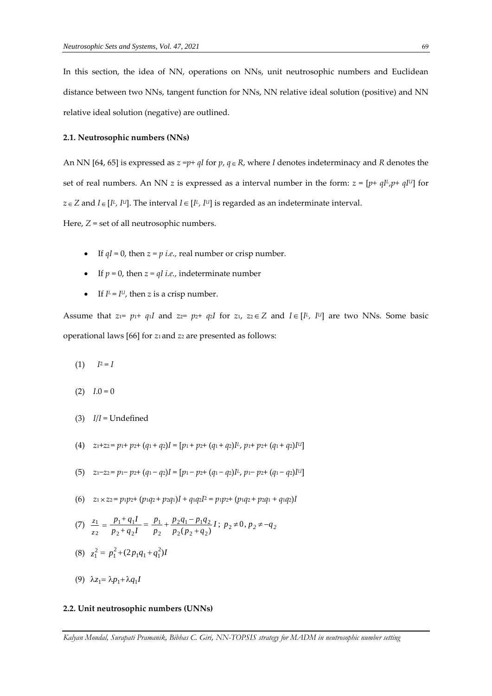In this section, the idea of NN, operations on NNs, unit neutrosophic numbers and Euclidean distance between two NNs, tangent function for NNs, NN relative ideal solution (positive) and NN relative ideal solution (negative) are outlined.

## **2.1. Neutrosophic numbers (NNs)**

An NN [64, 65] is expressed as  $z = p+ qI$  for  $p, q \in R$ , where *I* denotes indeterminacy and *R* denotes the set of real numbers. An NN *z* is expressed as a interval number in the form: *z* = [*p+ qI<sup>L</sup>* ,*p+ qIU*] for  $z \in Z$  and  $I \in [I^{\text{L}}, I^{\text{U}}]$ . The interval  $I \in [I^{\text{L}}, I^{\text{U}}]$  is regarded as an indeterminate interval.

Here, *Z* = set of all neutrosophic numbers.

- If  $qI = 0$ , then  $z = p$  *i.e.*, real number or crisp number.
- If  $p = 0$ , then  $z = qI$  *i.e.*, indeterminate number
- If  $I^L = I^U$ , then *z* is a crisp number.

Assume that  $z_1 = p_1 + q_1 I$  and  $z_2 = p_2 + q_2 I$  for  $z_1, z_2 \in \mathbb{Z}$  and  $I \in [I^L, I^U]$  are two NNs. Some basic operational laws [66] for *z*1 and *z*<sup>2</sup> are presented as follows:

- $(1)$  $I^2 = I$
- $I.0 = 0$
- (3) *I*/*I* = Undefined
- $(z)$  *z*<sub>1</sub>+z<sub>2</sub> = *p*<sub>1</sub>+ *p*<sub>2</sub>+ (*q*<sub>1</sub> + *q*<sub>2</sub>)*I* = [*p*<sub>1</sub> + *p*<sub>2</sub>+ (*q*<sub>1</sub> + *q*<sub>2</sub>)*I*<sup>*L*</sup>, *p*<sub>1</sub>+ *p*<sub>2</sub>+ (*q*<sub>1</sub> + *q*<sub>2</sub>)*I*<sup>*L*</sup>]
- (5) *z*1−*z*2 = *p*1− *p*2+ (*q*1 − *q*2)*I* = [*p*1 − *p*2+ (*q*1 − *q*2)*I L* , *p*1− *p*2+ (*q*1 − *q*2)*I U*]
- (6)  $z_1 \times z_2 = p_1p_2 + (p_1q_2 + p_2q_1)I + q_1q_2I^2 = p_1p_2 + (p_1q_2 + p_2q_1 + q_1q_2)I$
- $(7)$   $\frac{z_1}{z_2}$  = *z z* 2  $\frac{1}{1} = \frac{p_1 + q_1 i}{1} =$  $p_2 + q_2 I$  $p_1 + q_1 I$  $2 + 42$  $\frac{1+q_1I}{p_1+q_2I} = \frac{p_1}{p_2} + \frac{p_2q_1-p_1q_2}{p_2(p_2+q_2)}I; p_2 \neq 0, p_2 \neq -q_2$  $p_2 q_1 - p_1 q$ *p*  $\frac{p_1}{p_2} + \frac{p_2q_1 - p_1q_2}{p_2(p_2 + q_2)} I$ ;  $p_2 \neq 0$ ,  $p_2 \neq +\frac{p_2q_1-p_1q_2}{p_2(p_2+q_2)}I$ ;  $p_2\neq 0$ ,  $_2 q_1 - p_1 q_2$ 2 1

$$
(8) \ \ z_1^2 = p_1^2 + (2p_1q_1 + q_1^2)I
$$

(9)  $\lambda z_1 = \lambda p_1 + \lambda q_1 I$ 

#### **2.2. Unit neutrosophic numbers (UNNs)**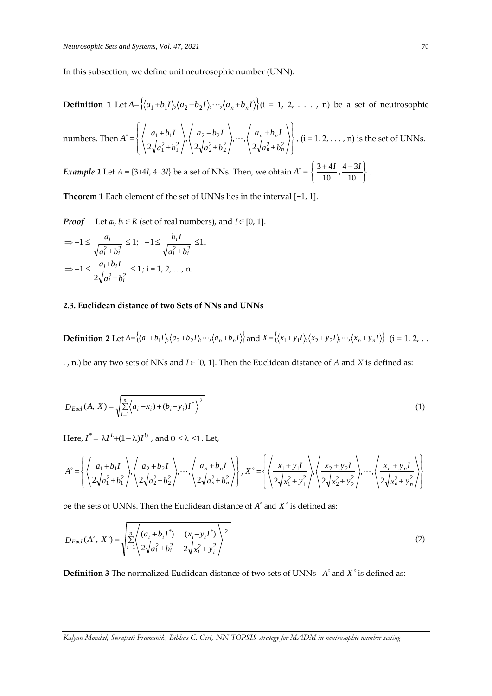In this subsection, we define unit neutrosophic number (UNN).

**Definition 1** Let 
$$
A = \langle \langle a_1 + b_1 I \rangle, \langle a_2 + b_2 I \rangle, \dots, \langle a_n + b_n I \rangle \rangle
$$
 (i = 1, 2, ..., n) be a set of neutrosophic

numbers. Then 
$$
A^\circ = \left\{ \left\langle \frac{a_1 + b_1 I}{2\sqrt{a_1^2 + b_1^2}} \right\rangle, \left\langle \frac{a_2 + b_2 I}{2\sqrt{a_2^2 + b_2^2}} \right\rangle, \dots, \left\langle \frac{a_n + b_n I}{2\sqrt{a_n^2 + b_n^2}} \right\rangle \right\}
$$
, (i = 1, 2, ..., n) is the set of UNNs.

*Example 1* Let *A* = {3+4*I*, 4−3*I*} be a set of NNs. Then, we obtain  $A^{\circ} = \left\{ \frac{3+4I}{10}, \frac{4-3I}{10} \right\}$  $=\left\{\frac{3+4I}{10},\frac{4-}{1}\right\}$ 10  $\frac{+4I}{10}$ ,  $\frac{4-3}{10}$  $A^{\circ} = \left\{ \frac{3 + 4I}{10}, \frac{4 - 3I}{10} \right\}.$ 

**Theorem 1** Each element of the set of UNNs lies in the interval [−1, 1].

.

*Proof* Let  $a_i$ ,  $b_i \in R$  (set of real numbers), and  $I \in [0, 1]$ .

$$
\Rightarrow -1 \le \frac{a_i}{\sqrt{a_i^2 + b_i^2}} \le 1; \quad -1 \le \frac{b_i I}{\sqrt{a_i^2 + b_i^2}} \le 1
$$

$$
\Rightarrow -1 \le \frac{a_i + b_i I}{2\sqrt{a_i^2 + b_i^2}} \le 1; \quad i = 1, 2, ..., n.
$$

## **2.3. Euclidean distance of two Sets of NNs and UNNs**

**Definition 2** Let  $A = \{(a_1 + b_1I), (a_2 + b_2I), \cdots, (a_n + b_nI)\}$  and  $X = \{(x_1 + y_1I), (x_2 + y_2I), \cdots, (x_n + y_nI)\}$  (i = 1, 2, ...

. , n.) be any two sets of NNs and *I* ∈ [0, 1]. Then the Euclidean distance of *A* and *X* is defined as:

$$
D_{Eucl}(A, X) = \sqrt{\sum_{i=1}^{n} \langle a_i - x_i \rangle + (b_i - y_i)I^* \rangle^2}
$$
 (1)

Here,  $I^* = \lambda I^L + (1 - \lambda)I^U$  , and  $0 \le \lambda \le 1$  . Let,

$$
A^{\circ} = \left\{ \left\langle \frac{a_1 + b_1 I}{2\sqrt{a_1^2 + b_1^2}} \right\rangle, \left\langle \frac{a_2 + b_2 I}{2\sqrt{a_2^2 + b_2^2}} \right\rangle, \dots, \left\langle \frac{a_n + b_n I}{2\sqrt{a_n^2 + b_n^2}} \right\rangle \right\}, X^{\circ} = \left\{ \left\langle \frac{x_1 + y_1 I}{2\sqrt{x_1^2 + y_1^2}} \right\rangle, \left\langle \frac{x_2 + y_2 I}{2\sqrt{x_2^2 + y_2^2}} \right\rangle, \dots, \left\langle \frac{x_n + y_n I}{2\sqrt{x_n^2 + y_n^2}} \right\rangle \right\}
$$

be the sets of UNNs. Then the Euclidean distance of  $A^{\circ}$  and  $X^{\circ}$  is defined as:

$$
D_{Eucl}(A^{\circ}, X^{\circ}) = \sqrt{\sum_{i=1}^{n} \left\langle \frac{(a_i + b_i I^{\circ})}{2\sqrt{a_i^2 + b_i^2}} - \frac{(x_i + y_i I^{\circ})}{2\sqrt{x_i^2 + y_i^2}} \right\rangle^2}
$$
(2)

**Definition 3** The normalized Euclidean distance of two sets of UNNs  $A^{\circ}$  and  $X^{\circ}$  is defined as: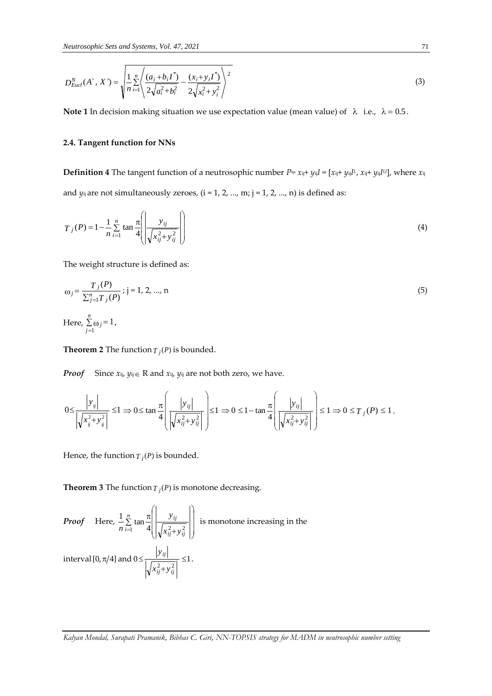$$
D_{Eucl}^{N}(A^{\circ}, X^{\circ}) = \sqrt{\frac{1}{n} \sum_{i=1}^{n} \left\langle \frac{(a_i + b_i I^*)}{2\sqrt{a_i^2 + b_i^2}} - \frac{(x_i + y_i I^*)}{2\sqrt{x_i^2 + y_i^2}} \right\rangle^2}
$$
(3)

**Note 1** In decision making situation we use expectation value (mean value) of  $\lambda$  i.e.,  $\lambda = 0.5$ .

# **2.4. Tangent function for NNs**

**Definition 4** The tangent function of a neutrosophic number *P= x*ij+ *y*ij*I* = [*x*ij+ *y*ij*I L* , *x*ij+ *y*ij*I <sup>U</sup>*], where *x*ij and  $y_{ij}$  are not simultaneously zeroes,  $(i = 1, 2, ..., m; j = 1, 2, ..., n)$  is defined as:

$$
T_{j}(P) = 1 - \frac{1}{n} \sum_{i=1}^{n} \tan \frac{\pi}{4} \left( \frac{y_{ij}}{\sqrt{x_{ij}^{2} + y_{ij}^{2}}} \right)
$$
 (4)

The weight structure is defined as:

$$
\omega_j = \frac{T_j(P)}{\sum_{j=1}^n T_j(P)}; j = 1, 2, ..., n
$$
  
Here,  $\sum_{j=1}^n \omega_j = 1$ . (5)

**Theorem 2** The function  $T_j(P)$  is bounded.

*Proof* Since  $x_{ij}$ ,  $y_{ij} \in R$  and  $x_{ij}$ ,  $y_{ij}$  are not both zero, we have.

$$
0 \leq \frac{\left|y_{ij}\right|}{\left|\sqrt{x_{ij}^2 + y_{ij}^2}\right|} \leq 1 \Rightarrow 0 \leq \tan \frac{\pi}{4} \left(\frac{\left|y_{ij}\right|}{\left|\sqrt{x_{ij}^2 + y_{ij}^2}\right|}\right) \leq 1 \Rightarrow 0 \leq 1 - \tan \frac{\pi}{4} \left(\frac{\left|y_{ij}\right|}{\left|\sqrt{x_{ij}^2 + y_{ij}^2}\right|}\right) \leq 1 \Rightarrow 0 \leq T_j(P) \leq 1.
$$

Hence, the function  $T_j(P)$  is bounded.

**Theorem 3** The function  $T_j(P)$  is monotone decreasing.

**Proof** Here, 
$$
\frac{1}{n} \sum_{i=1}^{n} \tan \frac{\pi}{4} \left( \left| \frac{y_{ij}}{\sqrt{x_{ij}^2 + y_{ij}^2}} \right| \right)
$$
 is monotone increasing in the interval  $[0, \pi/4]$  and  $0 \le \frac{|y_{ij}|}{\sqrt{x_{ij}^2 + y_{ij}^2}} \le 1$ .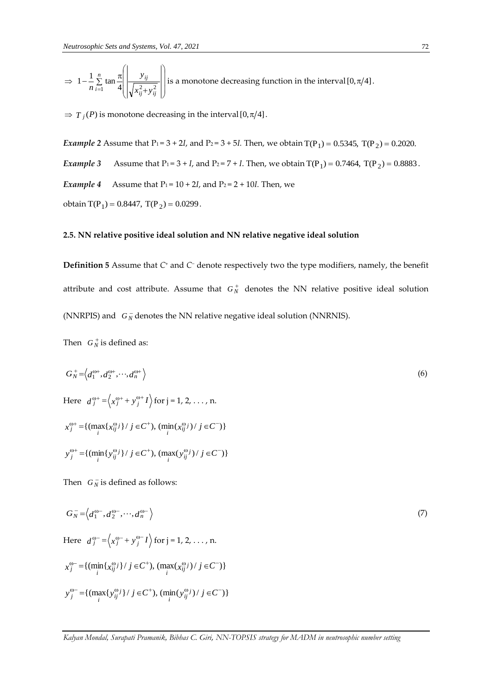$$
\Rightarrow 1 - \frac{1}{n} \sum_{i=1}^{n} \tan \frac{\pi}{4} \left( \frac{y_{ij}}{\sqrt{x_{ij}^2 + y_{ij}^2}} \right) \text{ is a monotone decreasing function in the interval } [0, \pi/4].
$$

 $\Rightarrow T_i(P)$  is monotone decreasing in the interval [0, $\pi/4$ ].

*Example* 2 Assume that  $P_1 = 3 + 2I$ , and  $P_2 = 3 + 5I$ . Then, we obtain  $T(P_1) = 0.5345$ ,  $T(P_2) = 0.2020$ . *Example* 3 Assume that  $P_1 = 3 + I$ , and  $P_2 = 7 + I$ . Then, we obtain  $T(P_1) = 0.7464$ ,  $T(P_2) = 0.8883$ . *Example 4* Assume that  $P_1 = 10 + 2I$ , and  $P_2 = 2 + 10I$ . Then, we obtain T(P<sub>1</sub>) = 0.8447, T(P<sub>2</sub>) = 0.0299.

## **2.5. NN relative positive ideal solution and NN relative negative ideal solution**

**Definition 5** Assume that *C*<sup>+</sup> and *C*<sup>−</sup> denote respectively two the type modifiers, namely, the benefit attribute and cost attribute. Assume that  $G_N^+$  denotes the NN relative positive ideal solution (NNRPIS) and  $G_N^-$  denotes the NN relative negative ideal solution (NNRNIS).

Then  $G_N^+$  is defined as:

$$
G_N^+ = \langle d_1^{\omega^+}, d_2^{\omega^+}, \cdots, d_n^{\omega^+} \rangle
$$
  
\nHere 
$$
d_j^{\omega^+} = \langle x_j^{\omega^+} + y_j^{\omega^+} I \rangle \text{ for } j = 1, 2, ..., n.
$$
  
\n
$$
x_j^{\omega^+} = \{ (\max_i \{ x_{ij}^{\omega} \} / j \in C^+), (\min_i (x_{ij}^{\omega} j) / j \in C^-) \}
$$
  
\n
$$
y_j^{\omega^+} = \{ (\min_i \{ y_{ij}^{\omega} \} / j \in C^+), (\max_i (y_{ij}^{\omega} j) / j \in C^-) \}
$$

Then  $G_N^-$  is defined as follows:

$$
G_N^- = \langle d_1^{\omega^-}, d_2^{\omega^-}, \cdots, d_n^{\omega^-} \rangle
$$
  
\nHere  $d_j^{\omega^-} = \langle x_j^{\omega^-} + y_j^{\omega^-} I \rangle$  for  $j = 1, 2, ..., n$ .  
\n
$$
x_j^{\omega^-} = \{ (\min_i \{ x_{ij}^{\omega} \} / j \in C^+), (\max_i \{ x_{ij}^{\omega} \} / j \in C^-) \}
$$
  
\n
$$
y_j^{\omega^-} = \{ (\max_i \{ y_{ij}^{\omega} \} / j \in C^+), (\min_i \{ y_{ij}^{\omega} \} / j \in C^-) \}
$$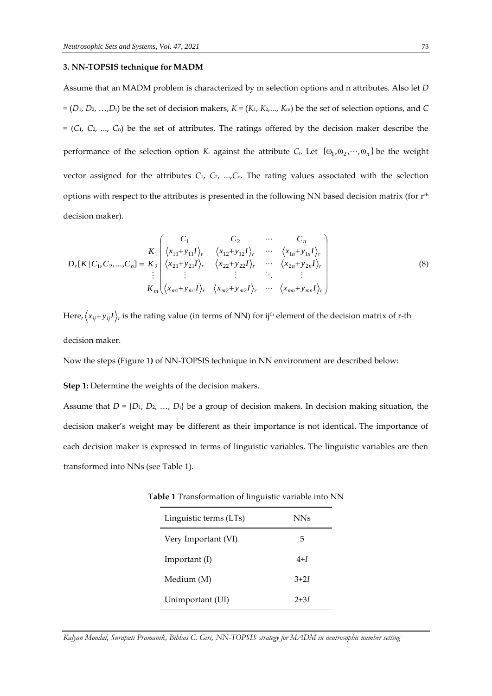#### **3. NN-TOPSIS technique for MADM**

Assume that an MADM problem is characterized by m selection options and n attributes. Also let *D*  $=(D_1, D_2, \ldots, D_r)$  be the set of decision makers,  $K = (K_1, K_2, \ldots, K_m)$  be the set of selection options, and *C* = (*C*1, *C*2, ..., *C*n) be the set of attributes. The ratings offered by the decision maker describe the performance of the selection option  $K_i$  against the attribute  $C_j$ . Let  $\{\omega_1, \omega_2, \dots, \omega_n\}$  be the weight vector assigned for the attributes *C*1, *C*2, ...,*C*n. The rating values associated with the selection options with respect to the attributes is presented in the following NN based decision matrix (for r<sup>th</sup> decision maker).

$$
D_r[K | C_1, C_2, ..., C_n] = K_1 \begin{pmatrix} C_1 & C_2 & \cdots & C_n \\ \langle x_{11} + y_{11}I \rangle_r & \langle x_{12} + y_{12}I \rangle_r & \cdots & \langle x_{1n} + y_{1n}I \rangle_r \\ \langle x_{21} + y_{21}I \rangle_r & \langle x_{22} + y_{22}I \rangle_r & \cdots & \langle x_{2n} + y_{2n}I \rangle_r \\ \vdots & \vdots & \ddots & \vdots \\ K_m \langle x_{m1} + y_{m1}I \rangle_r & \langle x_{m2} + y_{m2}I \rangle_r & \cdots & \langle x_{mn} + y_{mn}I \rangle_r \end{pmatrix}
$$
(8)

Here,  $\langle x_{ij}+y_{ij}I\rangle_r$  is the rating value (in terms of NN) for ij<sup>th</sup> element of the decision matrix of r-th decision maker.

Now the steps (Figure 1**)** of NN-TOPSIS technique in NN environment are described below:

## **Step 1:** Determine the weights of the decision makers.

Assume that *D* = {*D*1, *D*2, …, *D*r} be a group of decision makers. In decision making situation, the decision maker's weight may be different as their importance is not identical. The importance of each decision maker is expressed in terms of linguistic variables. The linguistic variables are then transformed into NNs (see Table 1).

**Table 1** Transformation of linguistic variable into NN

| Linguistic terms (LTs) | NNs      |
|------------------------|----------|
| Very Important (VI)    | 5        |
| Important (I)          | $4+I$    |
| Medium (M)             | $3+2I$   |
| Unimportant (UI)       | $2 + 3I$ |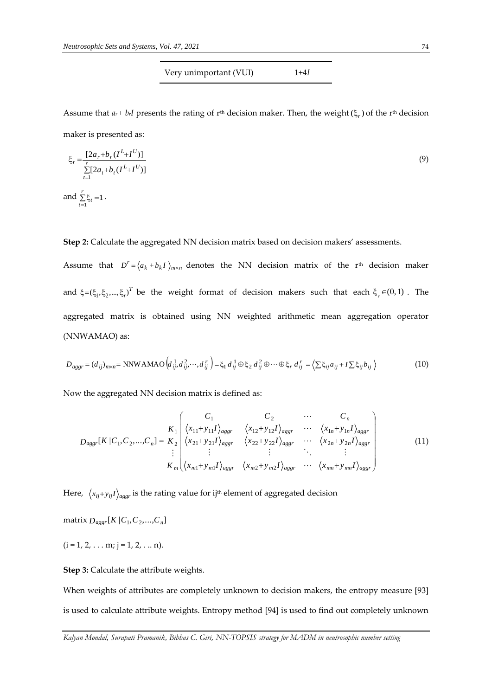Very unimportant (VUI) 1+4*I*

Assume that  $a_r + b_r I$  presents the rating of  $r<sup>th</sup>$  decision maker. Then, the weight  $(\xi_r)$  of the  $r<sup>th</sup>$  decision maker is presented as:

$$
\xi_r = \frac{[2a_r + b_r(I^L + I^U)]}{\sum_{t=1}^r [2a_t + b_t(I^L + I^U)]}
$$
\n
$$
\text{and } \sum_{t=1}^r \xi_t = 1 \, .
$$
\n(9)

**Step 2:** Calculate the aggregated NN decision matrix based on decision makers' assessments.

Assume that  $D^r = \langle a_k + b_k I \rangle_{m \times n}$  denotes the NN decision matrix of the r<sup>th</sup> decision maker and  $\xi = (\xi_1, \xi_2, ..., \xi_r)^T$  be the weight format of decision makers such that each  $\xi_r \in (0, 1)$ . The aggregated matrix is obtained using NN weighted arithmetic mean aggregation operator (NNWAMAO) as:

$$
D_{aggr} = (d_{ij})_{m \times n} = \text{NNWAMAO}\left(d_{ij}^1, d_{ij}^2, \cdots, d_{ij}^r\right) = \xi_1 d_{ij}^1 \oplus \xi_2 d_{ij}^2 \oplus \cdots \oplus \xi_r d_{ij}^r = \left\langle \sum \xi_{ij} a_{ij} + I \sum \xi_{ij} b_{ij} \right\rangle \tag{10}
$$

Now the aggregated NN decision matrix is defined as:

$$
D_{aggr}[K|C_1, C_2, ..., C_n] = K_1 \begin{pmatrix} C_1 & C_2 & \cdots & C_n \\ \langle x_{11} + y_{11}I \rangle_{aggr} & \langle x_{12} + y_{12}I \rangle_{aggr} & \cdots & \langle x_{1n} + y_{1n}I \rangle_{aggr} \\ \langle x_{21} + y_{21}I \rangle_{aggr} & \langle x_{22} + y_{22}I \rangle_{aggr} & \cdots & \langle x_{2n} + y_{2n}I \rangle_{aggr} \\ \vdots & \vdots & \ddots & \vdots \\ K_m \langle x_{m1} + y_{m1}I \rangle_{aggr} & \langle x_{m2} + y_{m2}I \rangle_{aggr} & \cdots & \langle x_{mn} + y_{mn}I \rangle_{aggr} \end{pmatrix}
$$
(11)

Here,  $\langle x_{ij} + y_{ij} I \rangle_{aggr}$  is the rating value for ij<sup>th</sup> element of aggregated decision

matrix 
$$
D_{aggr}[K|C_1, C_2, ..., C_n]
$$

$$
(i = 1, 2, \ldots m; j = 1, 2, \ldots n).
$$

**Step 3:** Calculate the attribute weights.

When weights of attributes are completely unknown to decision makers, the entropy measure [93] is used to calculate attribute weights. Entropy method [94] is used to find out completely unknown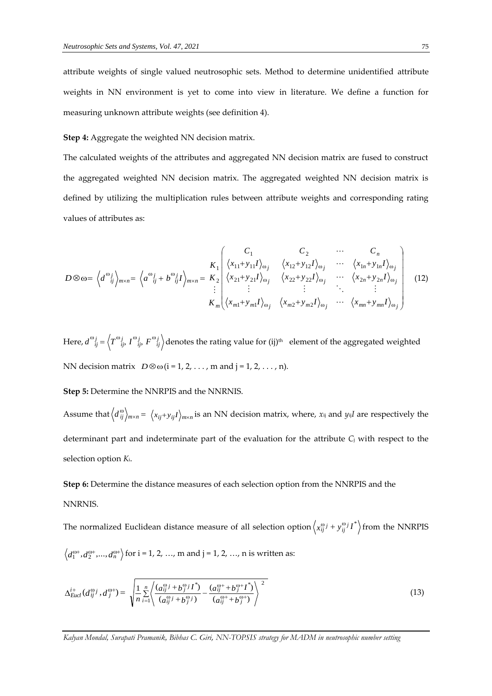attribute weights of single valued neutrosophic sets. Method to determine unidentified attribute weights in NN environment is yet to come into view in literature. We define a function for measuring unknown attribute weights (see definition 4).

#### **Step 4:** Aggregate the weighted NN decision matrix.

The calculated weights of the attributes and aggregated NN decision matrix are fused to construct the aggregated weighted NN decision matrix. The aggregated weighted NN decision matrix is defined by utilizing the multiplication rules between attribute weights and corresponding rating values of attributes as:

$$
D \otimes \omega = \left\langle d^{\omega}{}_{ij} \right\rangle_{m \times n} = \left\langle a^{\omega}{}_{ij} + b^{\omega}{}_{ij}I \right\rangle_{m \times n} = K_2 \left\{ \begin{array}{ccc} C_1 & C_2 & \cdots & C_n \\ \langle x_{11} + y_{11}I \rangle_{\omega_j} & \langle x_{12} + y_{12}I \rangle_{\omega_j} & \cdots & \langle x_{1n} + y_{1n}I \rangle_{\omega_j} \\ \langle x_{21} + y_{21}I \rangle_{\omega_j} & \langle x_{22} + y_{22}I \rangle_{\omega_j} & \cdots & \langle x_{2n} + y_{2n}I \rangle_{\omega_j} \\ \vdots & \vdots & \ddots & \vdots \\ K_m \left\langle x_{m1} + y_{m1}I \rangle_{\omega_j} & \langle x_{m2} + y_{m2}I \rangle_{\omega_j} & \cdots & \langle x_{mn} + y_{mn}I \rangle_{\omega_j} \right\rangle \end{array} \right\}
$$
(12)

Here,  $d^{\omega}{}_{ij} = \left\langle T^{\omega}{}_{ij}$ ,  $I^{\omega}{}_{ij}$ ,  $F^{\omega}{}_{ij}$  denotes the rating value for (ij)<sup>th</sup> element of the aggregated weighted NN decision matrix  $D \otimes \omega$  (i = 1, 2, ..., m and j = 1, 2, ..., n).

**Step 5:** Determine the NNRPIS and the NNRNIS.

Assume that  $\left\langle d^{\omega}_{ij}\right\rangle_{m\times n} = \left\langle x_{ij}+y_{ij}I\right\rangle_{m\times n}$  is an NN decision matrix, where,  $x_{ij}$  and  $y_{ij}$  are respectively the determinant part and indeterminate part of the evaluation for the attribute *C*<sup>j</sup> with respect to the selection option *K*i.

**Step 6:** Determine the distance measures of each selection option from the NNRPIS and the NNRNIS.

The normalized Euclidean distance measure of all selection option $\left\langle x_{ij}^{\omega}{}^{j}+y_{ij}^{\omega}{}^{j}I^{*}\right\rangle$  from the NNRPIS  $d_1^{\omega+}, d_2^{\omega+}, ..., d_n^{\omega+}\rangle$  for i = 1, 2, …, m and j = 1, 2, …, n is written as:

$$
\Delta_{Eucl}^{i+} (d_{ij}^{\omega_j}, d_j^{\omega}) = \sqrt{\frac{1}{n} \sum_{i=1}^n \left\langle \frac{(a_{ij}^{\omega_j} + b_j^{\omega_j} I^*)}{(a_{ij}^{\omega_j} + b_j^{\omega_j})} - \frac{(a_{ij}^{\omega} + b_j^{\omega} I^*)}{(a_{ij}^{\omega} + b_j^{\omega})} \right\rangle^2}
$$
(13)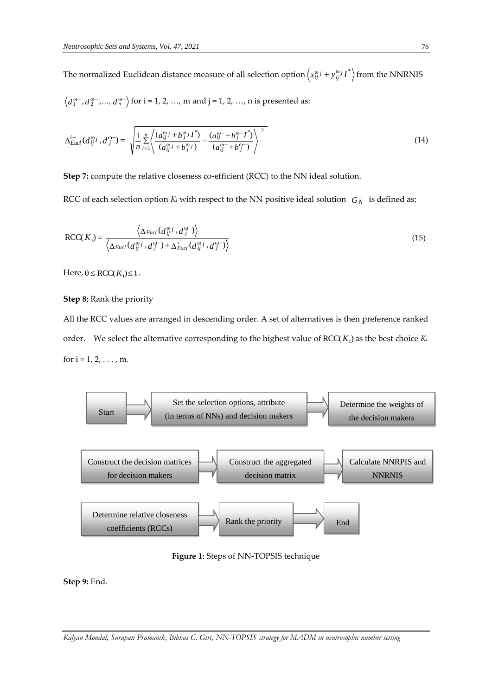The normalized Euclidean distance measure of all selection option $\left\langle x_{ij}^{\omega}{}^{j}+y_{ij}^{\omega}{}^{j}I^{*}\right\rangle$  from the NNRNIS  $d_1^{\omega_-}, d_2^{\omega_-}, ..., d_n^{\omega_-}$  for i = 1, 2, …, m and j = 1, 2, …, n is presented as:

$$
\Delta_{Eucl}^{i-}(d_{ij}^{\omega_j}, d_j^{\omega}) = \sqrt{\frac{1}{n} \sum_{i=1}^n \left( \frac{(a_{ij}^{\omega_j} + b_j^{\omega_j} I^*)}{(a_{ij}^{\omega_j} + b_j^{\omega_j})} - \frac{(a_{ij}^{\omega -} + b_j^{\omega -} I^*)}{(a_{ij}^{\omega -} + b_j^{\omega -})} \right)^2}
$$
(14)

 $a_{ij}^{\omega-}+b$ 

**Step 7:** compute the relative closeness co-efficient (RCC) to the NN ideal solution.

 $i=1$   $(a_{ij}^{00}$   $j+b_{j}^{00}$   $i$   $j$   $(a_{ij}^{00}$   $+b_{j}^{00}$ 

 $\frac{0}{i}$ *j* +  $b_j^{\omega}$ *j* 

 $a_{ij}^{\omega j}$  + b

RCC of each selection option  $K_i$  with respect to the NN positive ideal solution  $|G_N^+|\rangle$  is defined as:

$$
\text{RCC}(K_i) = \frac{\left\langle \Delta_{Eucl}^{\alpha}(d_{ij}^{\omega_j}, d_j^{\omega}) \right\rangle}{\left\langle \Delta_{Eucl}^{\alpha}(d_{ij}^{\omega_j}, d_j^{\omega}) + \Delta_{Eucl}^{\alpha}(d_{ij}^{\omega_j}, d_j^{\omega}) \right\rangle}
$$
(15)

Here,  $0 \leq RCC(K_i) \leq 1$ .

#### **Step 8:** Rank the priority

All the RCC values are arranged in descending order. A set of alternatives is then preference ranked order. We select the alternative corresponding to the highest value of  $RCC(K_i)$  as the best choice  $K_i$ for  $i = 1, 2, \ldots, m$ .



**Figure 1:** Steps of NN-TOPSIS technique

**Step 9:** End.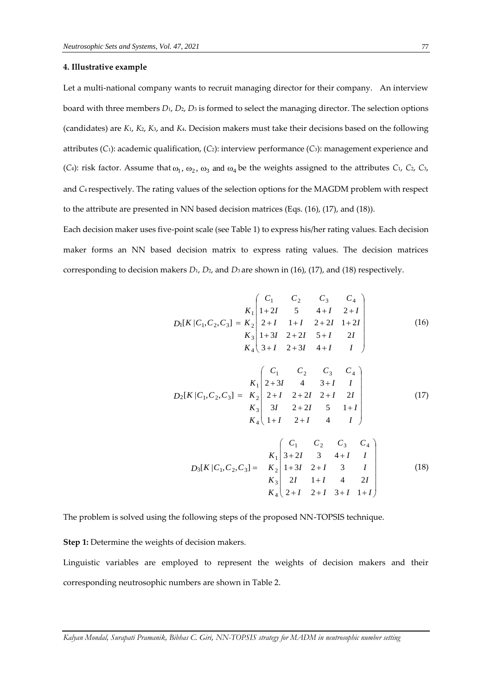#### **4. Illustrative example**

Let a multi-national company wants to recruit managing director for their company. An interview board with three members *D*1, *D*2, *D*<sup>3</sup> is formed to select the managing director. The selection options (candidates) are *K*1, *K*2, *K*3, and *K*4. Decision makers must take their decisions based on the following attributes (*C*1): academic qualification, (*C*2): interview performance (*C*3): management experience and (*C*<sub>4</sub>): risk factor. Assume that  $\omega_1$ ,  $\omega_2$ ,  $\omega_3$  and  $\omega_4$  be the weights assigned to the attributes *C*<sub>1</sub>, *C*<sub>2</sub>, *C*<sub>3</sub>, and *C*4 respectively. The rating values of the selection options for the MAGDM problem with respect to the attribute are presented in NN based decision matrices (Eqs. (16), (17), and (18)).

Each decision maker uses five-point scale (see Table 1) to express his/her rating values. Each decision maker forms an NN based decision matrix to express rating values. The decision matrices corresponding to decision makers *D*1, *D*2, and *D*3 are shown in (16), (17), and (18) respectively.

$$
D_1[K|C_1, C_2, C_3] = K_2 \begin{pmatrix} C_1 & C_2 & C_3 & C_4 \\ 1+2I & 5 & 4+I & 2+I \\ 2+I & 1+I & 2+2I & 1+2I \\ K_3 & 1+3I & 2+2I & 5+I & 2I \\ K_4 & 3+I & 2+3I & 4+I & I \end{pmatrix} \tag{16}
$$

$$
D_2[K|C_1, C_2, C_3] = \begin{array}{c|ccc} & K_1 & 2+3I & 4 & 3+I & I \\ K_2 & 2+I & 2+2I & 2+I & 2I \\ & K_3 & 3I & 2+2I & 5 & 1+I \\ & K_4 & 1+I & 2+I & 4 & I \end{array}
$$
 (17)

$$
D_3[K|C_1, C_2, C_3] = \begin{array}{c|ccccc} & C_1 & C_2 & C_3 & C_4 \\ & 3+2I & 3 & 4+I & I \\ & K_2 & 1+3I & 2+I & 3 & I \\ & K_3 & 2I & 1+I & 4 & 2I \\ & K_4 & 2+I & 2+I & 3+I & 1+I \end{array}
$$
 (18)

The problem is solved using the following steps of the proposed NN-TOPSIS technique.

**Step 1:** Determine the weights of decision makers.

Linguistic variables are employed to represent the weights of decision makers and their corresponding neutrosophic numbers are shown in Table 2.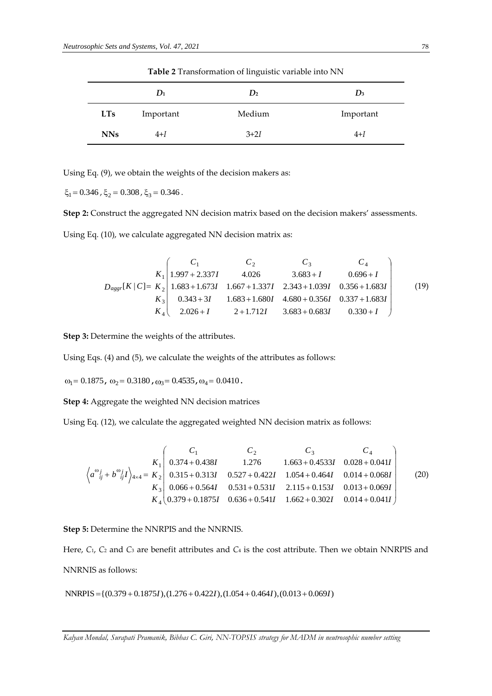|            |                | $\overline{\phantom{a}}$ |           |
|------------|----------------|--------------------------|-----------|
|            | $\mathbf{D}_1$ | D <sub>2</sub>           | $D_3$     |
| LTs        | Important      | Medium                   | Important |
| <b>NNs</b> | 4+I            | $3+2I$                   | $4+I$     |

**Table 2** Transformation of linguistic variable into NN

Using Eq. (9), we obtain the weights of the decision makers as:

 $\xi_1 = 0.346$ ,  $\xi_2 = 0.308$ ,  $\xi_3 = 0.346$ .

**Step 2:** Construct the aggregated NN decision matrix based on the decision makers' assessments.

Using Eq. (10), we calculate aggregated NN decision matrix as:

$$
D_{aggr}[K|C] = K_2 \begin{pmatrix} C_1 & C_2 & C_3 & C_4 \ 1.997 + 2.337I & 4.026 & 3.683 + I & 0.696 + I \ 1.683 + 1.673I & 1.667 + 1.337I & 2.343 + 1.039I & 0.356 + 1.683I \ K_3 & 0.343 + 3I & 1.683 + 1.680I & 4.680 + 0.356I & 0.337 + 1.683I \ 2.026 + I & 2 + 1.712I & 3.683 + 0.683I & 0.330 + I \end{pmatrix}
$$
(19)

**Step 3:** Determine the weights of the attributes.

Using Eqs. (4) and (5), we calculate the weights of the attributes as follows:

 $\omega_1 = 0.1875$ ,  $\omega_2 = 0.3180$ ,  $\omega_3 = 0.4535$ ,  $\omega_4 = 0.0410$ .

**Step 4:** Aggregate the weighted NN decision matrices

Using Eq. (12), we calculate the aggregated weighted NN decision matrix as follows:

$$
\left\langle a^{\omega}{}_{ij} + b^{\omega}{}_{ij}I \right\rangle_{4 \times 4} = K_{2} \begin{bmatrix} C_{1} & C_{2} & C_{3} & C_{4} \\ 0.374 + 0.438I & 1.276 & 1.663 + 0.4533I & 0.028 + 0.041I \\ 0.315 + 0.313I & 0.527 + 0.422I & 1.054 + 0.464I & 0.014 + 0.068I \\ K_{3} & 0.066 + 0.564I & 0.531 + 0.531I & 2.115 + 0.153I & 0.013 + 0.069I \\ K_{4} & 0.379 + 0.1875I & 0.636 + 0.541I & 1.662 + 0.302I & 0.014 + 0.041I \end{bmatrix}
$$
(20)

**Step 5:** Determine the NNRPIS and the NNRNIS.

Here, *C*1, *C*<sup>2</sup> and *C*<sup>3</sup> are benefit attributes and *C*<sup>4</sup> is the cost attribute. Then we obtain NNRPIS and NNRNIS as follows:

 $NNRPIS = \{(0.379 + 0.1875*I*), (1.276 + 0.422*I*), (1.054 + 0.464*I*), (0.013 + 0.069*I*)\}$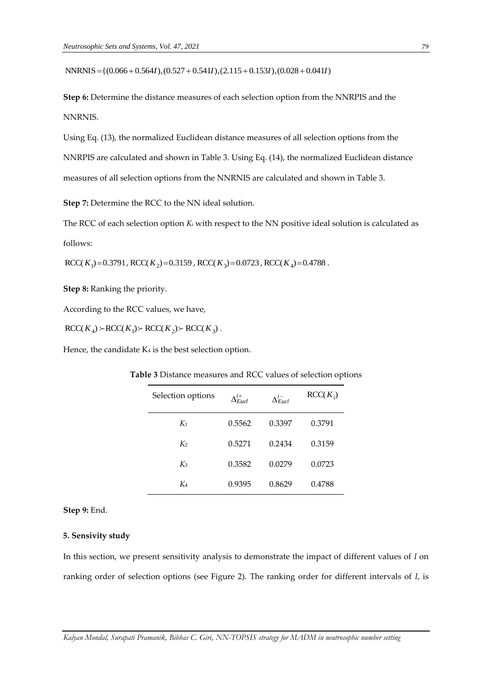$NNRNIS = \{(0.066 + 0.564I), (0.527 + 0.541I), (2.115 + 0.153I), (0.028 + 0.041I)\}$ 

**Step 6:** Determine the distance measures of each selection option from the NNRPIS and the NNRNIS.

Using Eq. (13), the normalized Euclidean distance measures of all selection options from the NNRPIS are calculated and shown in Table 3. Using Eq. (14), the normalized Euclidean distance measures of all selection options from the NNRNIS are calculated and shown in Table 3.

**Step 7:** Determine the RCC to the NN ideal solution.

The RCC of each selection option *K*<sup>i</sup> with respect to the NN positive ideal solution is calculated as follows:

RCC( $K_1$ ) = 0.3791, RCC( $K_2$ ) = 0.3159, RCC( $K_3$ ) = 0.0723, RCC( $K_4$ ) = 0.4788.

**Step 8:** Ranking the priority.

According to the RCC values, we have,

 $RCC(K_4) \succ RCC(K_1) \succ RCC(K_2) \succ RCC(K_3)$ .

Hence, the candidate K<sub>4</sub> is the best selection option.

| Selection options | $\Delta^{i+}_{Eucl}$ | $\Delta_{Eucl}^{i-}$ | $RCC(K_i)$ |
|-------------------|----------------------|----------------------|------------|
| $K_1$             | 0.5562               | 0.3397               | 0.3791     |
| K <sub>2</sub>    | 0.5271               | 0.2434               | 0.3159     |
| $K_3$             | 0.3582               | 0.0279               | 0.0723     |
| K <sub>4</sub>    | 0.9395               | 0.8629               | 0.4788     |

**Table 3** Distance measures and RCC values of selection options

**Step 9:** End.

#### **5. Sensivity study**

In this section, we present sensitivity analysis to demonstrate the impact of different values of *I* on ranking order of selection options (see Figure 2). The ranking order for different intervals of *I*, is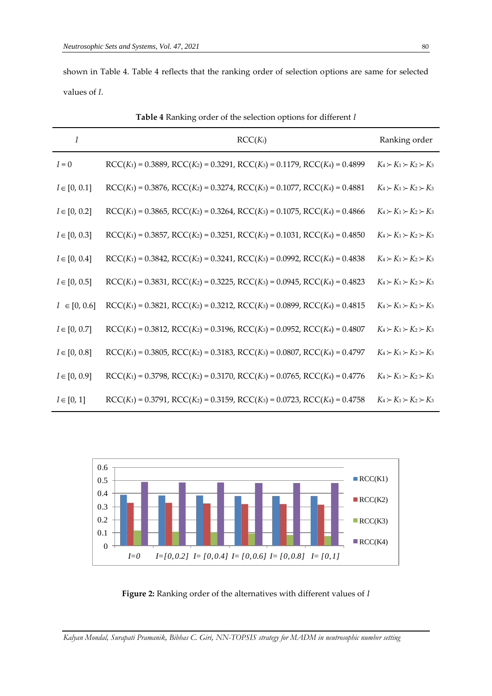shown in Table 4. Table 4 reflects that the ranking order of selection options are same for selected values of *I*.

| Table 4 Ranking order of the selection options for different I |                                                                                       |                                     |  |
|----------------------------------------------------------------|---------------------------------------------------------------------------------------|-------------------------------------|--|
| $\overline{I}$                                                 | $RCC(K_i)$                                                                            | Ranking order                       |  |
| $I=0$                                                          | $RCC(K_1) = 0.3889$ , $RCC(K_2) = 0.3291$ , $RCC(K_3) = 0.1179$ , $RCC(K_4) = 0.4899$ | $K_4 \succ K_1 \succ K_2 \succ K_3$ |  |
| $I \in [0, 0.1]$                                               | $RCC(K_1) = 0.3876$ , $RCC(K_2) = 0.3274$ , $RCC(K_3) = 0.1077$ , $RCC(K_4) = 0.4881$ | $K_4 \succ K_1 \succ K_2 \succ K_3$ |  |
| $I \in [0, 0.2]$                                               | $RCC(K_1) = 0.3865$ , $RCC(K_2) = 0.3264$ , $RCC(K_3) = 0.1075$ , $RCC(K_4) = 0.4866$ | $K_4 \succ K_1 \succ K_2 \succ K_3$ |  |
| $I \in [0, 0.3]$                                               | $RCC(K_1) = 0.3857$ , $RCC(K_2) = 0.3251$ , $RCC(K_3) = 0.1031$ , $RCC(K_4) = 0.4850$ | $K_4 \succ K_1 \succ K_2 \succ K_3$ |  |
| $I \in [0, 0.4]$                                               | $RCC(K_1) = 0.3842$ , $RCC(K_2) = 0.3241$ , $RCC(K_3) = 0.0992$ , $RCC(K_4) = 0.4838$ | $K_4 \succ K_1 \succ K_2 \succ K_3$ |  |
| $I \in [0, 0.5]$                                               | $RCC(K_1) = 0.3831$ , $RCC(K_2) = 0.3225$ , $RCC(K_3) = 0.0945$ , $RCC(K_4) = 0.4823$ | $K_4 \succ K_1 \succ K_2 \succ K_3$ |  |
| $I \in [0, 0.6]$                                               | $RCC(K_1) = 0.3821$ , $RCC(K_2) = 0.3212$ , $RCC(K_3) = 0.0899$ , $RCC(K_4) = 0.4815$ | $K_4 \succ K_1 \succ K_2 \succ K_3$ |  |
| $I \in [0, 0.7]$                                               | $RCC(K_1) = 0.3812$ , $RCC(K_2) = 0.3196$ , $RCC(K_3) = 0.0952$ , $RCC(K_4) = 0.4807$ | $K_4 \succ K_1 \succ K_2 \succ K_3$ |  |
| $I \in [0, 0.8]$                                               | $RCC(K_1) = 0.3805$ , $RCC(K_2) = 0.3183$ , $RCC(K_3) = 0.0807$ , $RCC(K_4) = 0.4797$ | $K_4 \succ K_1 \succ K_2 \succ K_3$ |  |
| $I \in [0, 0.9]$                                               | $RCC(K_1) = 0.3798$ , $RCC(K_2) = 0.3170$ , $RCC(K_3) = 0.0765$ , $RCC(K_4) = 0.4776$ | $K_4 \succ K_1 \succ K_2 \succ K_3$ |  |
| $I \in [0, 1]$                                                 | $RCC(K_1) = 0.3791$ , $RCC(K_2) = 0.3159$ , $RCC(K_3) = 0.0723$ , $RCC(K_4) = 0.4758$ | $K_4 \succ K_1 \succ K_2 \succ K_3$ |  |



**Figure 2:** Ranking order of the alternatives with different values of *I*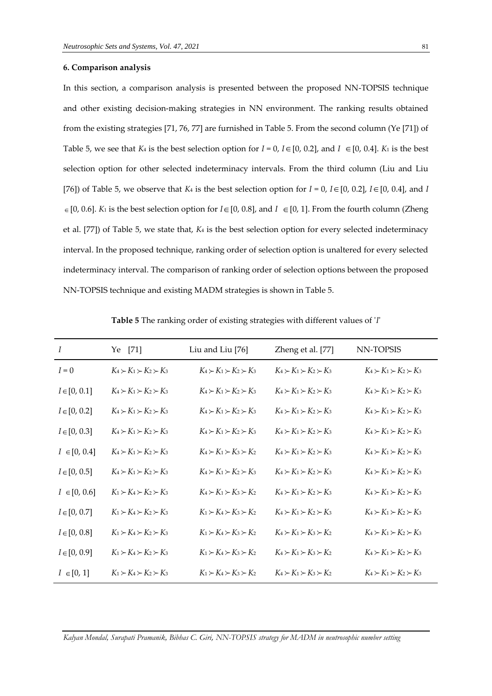## **6. Comparison analysis**

In this section, a comparison analysis is presented between the proposed NN-TOPSIS technique and other existing decision-making strategies in NN environment. The ranking results obtained from the existing strategies [71, 76, 77] are furnished in Table 5. From the second column (Ye [71]) of Table 5, we see that  $K_4$  is the best selection option for  $I = 0$ ,  $I \in [0, 0.2]$ , and  $I \in [0, 0.4]$ .  $K_1$  is the best selection option for other selected indeterminacy intervals. From the third column (Liu and Liu [76]) of Table 5, we observe that  $K_4$  is the best selection option for  $I = 0$ ,  $I \in [0, 0.2]$ ,  $I \in [0, 0.4]$ , and *I*  $\in$  [0, 0.6]. *K*<sub>1</sub> is the best selection option for *I*  $\in$  [0, 0.8], and *I*  $\in$  [0, 1]. From the fourth column (Zheng et al. [77]) of Table 5, we state that, *K*<sup>4</sup> is the best selection option for every selected indeterminacy interval. In the proposed technique, ranking order of selection option is unaltered for every selected indeterminacy interval. The comparison of ranking order of selection options between the proposed NN-TOPSIS technique and existing MADM strategies is shown in Table 5.

| $\boldsymbol{I}$ | Ye [71]                             | Liu and Liu [76]                    | Zheng et al. [77]                   | NN-TOPSIS                           |
|------------------|-------------------------------------|-------------------------------------|-------------------------------------|-------------------------------------|
| $I=0$            | $K_4 \succ K_1 \succ K_2 \succ K_3$ | $K_4 \succ K_1 \succ K_2 \succ K_3$ | $K_4 \succ K_1 \succ K_2 \succ K_3$ | $K_4 \succ K_1 \succ K_2 \succ K_3$ |
| $I \in [0, 0.1]$ | $K_4 \succ K_1 \succ K_2 \succ K_3$ | $K_4 \succ K_1 \succ K_2 \succ K_3$ | $K_4 \succ K_1 \succ K_2 \succ K_3$ | $K_4 \succ K_1 \succ K_2 \succ K_3$ |
| $I \in [0, 0.2]$ | $K_4 \succ K_1 \succ K_2 \succ K_3$ | $K_4 \succ K_1 \succ K_2 \succ K_3$ | $K_4 \succ K_1 \succ K_2 \succ K_3$ | $K_4 \succ K_1 \succ K_2 \succ K_3$ |
| $I \in [0, 0.3]$ | $K_4 \succ K_1 \succ K_2 \succ K_3$ | $K_4 \succ K_1 \succ K_2 \succ K_3$ | $K_4 \succ K_1 \succ K_2 \succ K_3$ | $K_4 \succ K_1 \succ K_2 \succ K_3$ |
| $I \in [0, 0.4]$ | $K_4 \succ K_1 \succ K_2 \succ K_3$ | $K_4 \succ K_1 \succ K_3 \succ K_2$ | $K_4 \succ K_1 \succ K_2 \succ K_3$ | $K_4 \succ K_1 \succ K_2 \succ K_3$ |
| $I \in [0, 0.5]$ | $K_4 \succ K_1 \succ K_2 \succ K_3$ | $K_4 \succ K_1 \succ K_2 \succ K_3$ | $K_4 \succ K_1 \succ K_2 \succ K_3$ | $K_4 \succ K_1 \succ K_2 \succ K_3$ |
| $I \in [0, 0.6]$ | $K_1 \succ K_4 \succ K_2 \succ K_3$ | $K_4 \succ K_1 \succ K_3 \succ K_2$ | $K_4 \succ K_1 \succ K_2 \succ K_3$ | $K_4 \succ K_1 \succ K_2 \succ K_3$ |
| $I \in [0, 0.7]$ | $K_1 \succ K_4 \succ K_2 \succ K_3$ | $K_1 \succ K_4 \succ K_3 \succ K_2$ | $K_4 \succ K_1 \succ K_2 \succ K_3$ | $K_4 \succ K_1 \succ K_2 \succ K_3$ |
| $I \in [0, 0.8]$ | $K_1 \succ K_4 \succ K_2 \succ K_3$ | $K_1 \succ K_4 \succ K_3 \succ K_2$ | $K_4 \succ K_1 \succ K_3 \succ K_2$ | $K_4 \succ K_1 \succ K_2 \succ K_3$ |
| $I \in [0, 0.9]$ | $K_1 \succ K_4 \succ K_2 \succ K_3$ | $K_1 \succ K_4 \succ K_3 \succ K_2$ | $K_4 \succ K_1 \succ K_3 \succ K_2$ | $K_4 \succ K_1 \succ K_2 \succ K_3$ |
| $I \in [0, 1]$   | $K_1 \succ K_4 \succ K_2 \succ K_3$ | $K_1 \succ K_4 \succ K_3 \succ K_2$ | $K_4 \succ K_1 \succ K_3 \succ K_2$ | $K_4 \succ K_1 \succ K_2 \succ K_3$ |

**Table 5** The ranking order of existing strategies with different values of '*I*'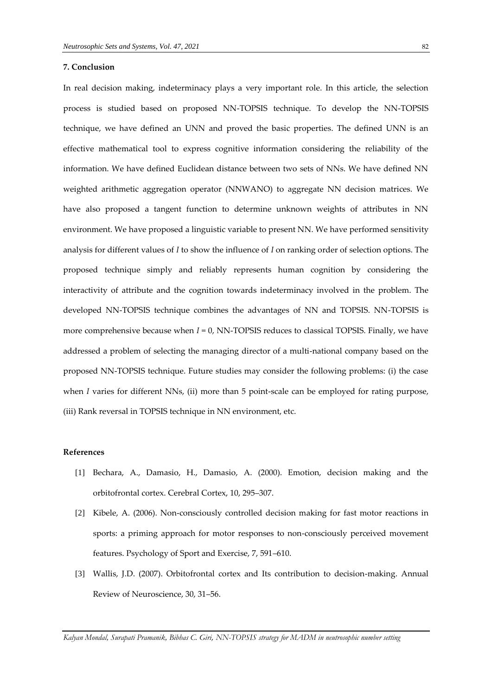#### **7. Conclusion**

In real decision making, indeterminacy plays a very important role. In this article, the selection process is studied based on proposed NN-TOPSIS technique. To develop the NN-TOPSIS technique, we have defined an UNN and proved the basic properties. The defined UNN is an effective mathematical tool to express cognitive information considering the reliability of the information. We have defined Euclidean distance between two sets of NNs. We have defined NN weighted arithmetic aggregation operator (NNWANO) to aggregate NN decision matrices. We have also proposed a tangent function to determine unknown weights of attributes in NN environment. We have proposed a linguistic variable to present NN. We have performed sensitivity analysis for different values of *I* to show the influence of *I* on ranking order of selection options. The proposed technique simply and reliably represents human cognition by considering the interactivity of attribute and the cognition towards indeterminacy involved in the problem. The developed NN-TOPSIS technique combines the advantages of NN and TOPSIS. NN-TOPSIS is more comprehensive because when  $I = 0$ , NN-TOPSIS reduces to classical TOPSIS. Finally, we have addressed a problem of selecting the managing director of a multi-national company based on the proposed NN-TOPSIS technique. Future studies may consider the following problems: (i) the case when *I* varies for different NNs, (ii) more than 5 point-scale can be employed for rating purpose, (iii) Rank reversal in TOPSIS technique in NN environment, etc.

## **References**

- [1] Bechara, A., Damasio, H., Damasio, A. (2000). Emotion, decision making and the orbitofrontal cortex. Cerebral Cortex, 10, 295–307.
- [2] Kibele, A. (2006). Non-consciously controlled decision making for fast motor reactions in sports: a priming approach for motor responses to non-consciously perceived movement features. Psychology of Sport and Exercise, 7, 591–610.
- [3] Wallis, J.D. (2007). Orbitofrontal cortex and Its contribution to decision-making. Annual Review of Neuroscience, 30, 31–56.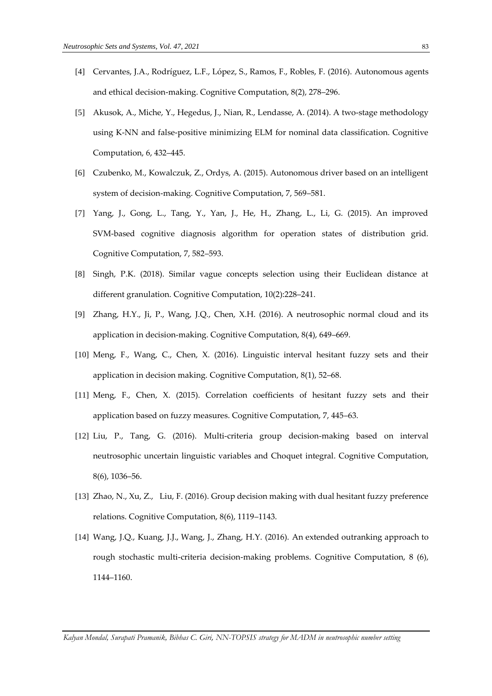- [4] Cervantes, J.A., Rodríguez, L.F., López, S., Ramos, F., Robles, F. (2016). Autonomous agents and ethical decision-making. Cognitive Computation, 8(2), 278–296.
- [5] Akusok, A., Miche, Y., Hegedus, J., Nian, R., Lendasse, A. (2014). A two-stage methodology using K-NN and false-positive minimizing ELM for nominal data classification. Cognitive Computation, 6, 432–445.
- [6] Czubenko, M., Kowalczuk, Z., Ordys, A. (2015). Autonomous driver based on an intelligent system of decision-making. Cognitive Computation, 7, 569–581.
- [7] Yang, J., Gong, L., Tang, Y., Yan, J., He, H., Zhang, L., Li, G. (2015). An improved SVM-based cognitive diagnosis algorithm for operation states of distribution grid. Cognitive Computation, 7, 582–593.
- [8] Singh, P.K. (2018). Similar vague concepts selection using their Euclidean distance at different granulation. Cognitive Computation, 10(2):228–241.
- [9] Zhang, H.Y., Ji, P., Wang, J.Q., Chen, X.H. (2016). A neutrosophic normal cloud and its application in decision-making. Cognitive Computation, 8(4), 649–669.
- [10] Meng, F., Wang, C., Chen, X. (2016). Linguistic interval hesitant fuzzy sets and their application in decision making. Cognitive Computation, 8(1), 52–68.
- [11] Meng, F., Chen, X. (2015). Correlation coefficients of hesitant fuzzy sets and their application based on fuzzy measures. Cognitive Computation, 7, 445–63.
- [12] Liu, P., Tang, G. (2016). Multi-criteria group decision-making based on interval neutrosophic uncertain linguistic variables and Choquet integral. Cognitive Computation, 8(6), 1036–56.
- [13] Zhao, N., Xu, Z., Liu, F. (2016). Group decision making with dual hesitant fuzzy preference relations. Cognitive Computation, 8(6), 1119–1143.
- [14] Wang, J.Q., Kuang, J.J., Wang, J., Zhang, H.Y. (2016). An extended outranking approach to rough stochastic multi-criteria decision-making problems. Cognitive Computation, 8 (6), 1144–1160.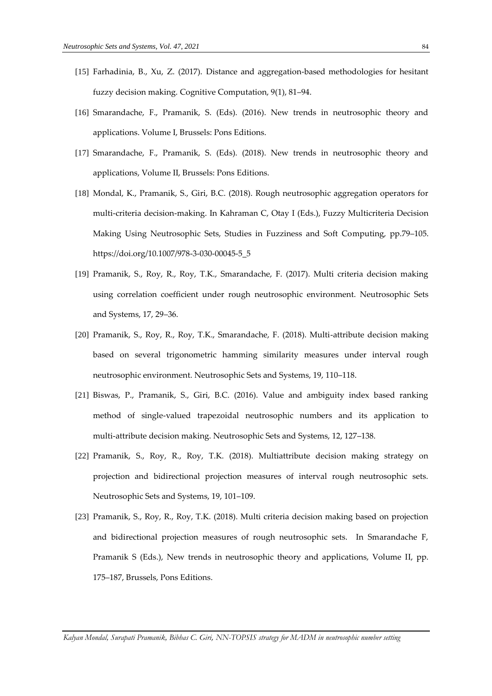- [15] Farhadinia, B., Xu, Z. (2017). Distance and aggregation-based methodologies for hesitant fuzzy decision making. Cognitive Computation, 9(1), 81–94.
- [16] Smarandache, F., Pramanik, S. (Eds). (2016). New trends in neutrosophic theory and applications. Volume I, Brussels: Pons Editions.
- [17] Smarandache, F., Pramanik, S. (Eds). (2018). New trends in neutrosophic theory and applications, Volume II, Brussels: Pons Editions.
- [18] Mondal, K., Pramanik, S., Giri, B.C. (2018). Rough neutrosophic aggregation operators for multi-criteria decision-making. In Kahraman C, Otay I (Eds.), Fuzzy Multicriteria Decision Making Using Neutrosophic Sets, Studies in Fuzziness and Soft Computing, pp.79–105. [https://doi.org/10.1007/978-3-030-00045-5\\_5](https://doi.org/10.1007/978-3-030-00045-5_5)
- [19] Pramanik, S., Roy, R., Roy, T.K., Smarandache, F. (2017). Multi criteria decision making using correlation coefficient under rough neutrosophic environment. Neutrosophic Sets and Systems, 17, 29–36.
- [20] Pramanik, S., Roy, R., Roy, T.K., Smarandache, F. (2018). Multi-attribute decision making based on several trigonometric hamming similarity measures under interval rough neutrosophic environment. Neutrosophic Sets and Systems, 19, 110–118.
- [21] Biswas, P., Pramanik, S., Giri, B.C. (2016). Value and ambiguity index based ranking method of single-valued trapezoidal neutrosophic numbers and its application to multi-attribute decision making. Neutrosophic Sets and Systems, 12, 127–138.
- [22] Pramanik, S., Roy, R., Roy, T.K. (2018). Multiattribute decision making strategy on projection and bidirectional projection measures of interval rough neutrosophic sets. Neutrosophic Sets and Systems, 19, 101–109.
- [23] Pramanik, S., Roy, R., Roy, T.K. (2018). Multi criteria decision making based on projection and bidirectional projection measures of rough neutrosophic sets. In Smarandache F, Pramanik S (Eds.), New trends in neutrosophic theory and applications, Volume II, pp. 175–187, Brussels, Pons Editions.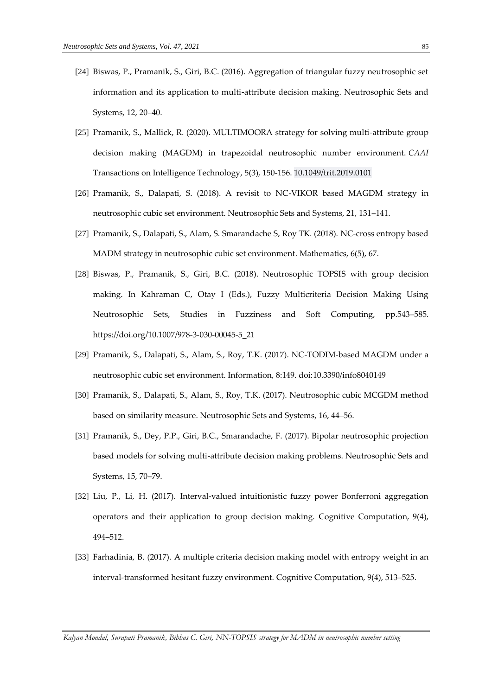- [24] Biswas, P., Pramanik, S., Giri, B.C. (2016). Aggregation of triangular fuzzy neutrosophic set information and its application to multi-attribute decision making. Neutrosophic Sets and Systems, 12, 20–40.
- [25] Pramanik, S., Mallick, R. (2020). MULTIMOORA strategy for solving multi-attribute group decision making (MAGDM) in trapezoidal neutrosophic number environment. *CAAI*  Transactions on Intelligence Technology, 5(3), 150-156. [10.1049/trit.2019.0101](https://doi.org/10.1049/trit.2019.0101)
- [26] Pramanik, S., Dalapati, S. (2018). A revisit to NC-VIKOR based MAGDM strategy in neutrosophic cubic set environment. Neutrosophic Sets and Systems, 21, 131–141.
- [27] Pramanik, S., Dalapati, S., Alam, S. Smarandache S, Roy TK. (2018). [NC-cross entropy based](javascript:void(0))  [MADM strategy in neutrosophic cubic set environment.](javascript:void(0)) Mathematics, 6(5), 67.
- [28] Biswas, P., Pramanik, S., Giri, B.C. (2018). Neutrosophic TOPSIS with group decision making. In Kahraman C, Otay I (Eds.), Fuzzy Multicriteria Decision Making Using Neutrosophic Sets, Studies in Fuzziness and Soft Computing, pp.543–585. [https://doi.org/10.1007/978-3-030-00045-5\\_21](https://doi.org/10.1007/978-3-030-00045-5_21)
- [29] Pramanik, S., Dalapati, S., Alam, S., Roy, T.K. (2017). NC-TODIM-based MAGDM under a neutrosophic cubic set environment. Information, 8:149. doi[:10.3390/info8040149](http://dx.doi.org/10.3390/info8040149)
- [30] Pramanik, S., Dalapati, S., Alam, S., Roy, T.K. (2017). [Neutrosophic cubic MCGDM method](https://scholar.google.co.in/citations?view_op=view_citation&hl=en&user=vLGVDYgAAAAJ&sortby=pubdate&citation_for_view=vLGVDYgAAAAJ:cF7EPgIk0B4C)  [based on similarity measure.](https://scholar.google.co.in/citations?view_op=view_citation&hl=en&user=vLGVDYgAAAAJ&sortby=pubdate&citation_for_view=vLGVDYgAAAAJ:cF7EPgIk0B4C) Neutrosophic Sets and Systems, 16, 44–56.
- [31] Pramanik, S., Dey, P.P., Giri, B.C., Smarandache, F. (2017). Bipolar neutrosophic projection based models for solving multi-attribute decision making problems. Neutrosophic Sets and Systems, 15, 70–79.
- [32] Liu, P., Li, H. (2017). Interval-valued intuitionistic fuzzy power Bonferroni aggregation operators and their application to group decision making. Cognitive Computation, 9(4), 494–512.
- [33] Farhadinia, B. (2017). A multiple criteria decision making model with entropy weight in an interval-transformed hesitant fuzzy environment. Cognitive Computation, 9(4), 513–525.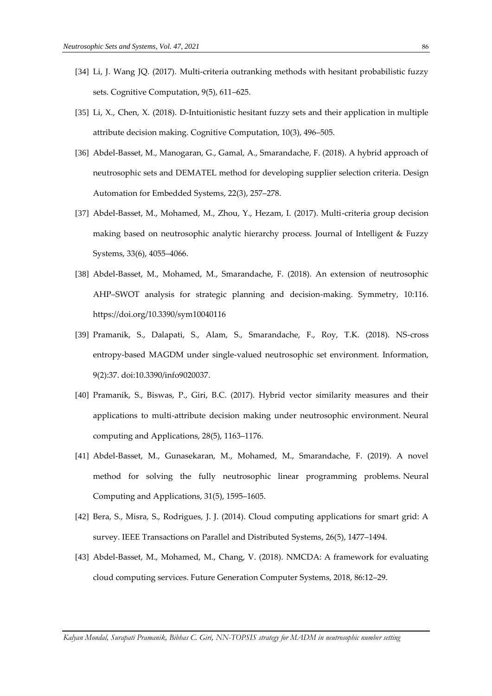- [34] Li, J. Wang JQ. (2017). Multi-criteria outranking methods with hesitant probabilistic fuzzy sets. Cognitive Computation, 9(5), 611–625.
- [35] Li, X., Chen, X. (2018). D-Intuitionistic hesitant fuzzy sets and their application in multiple attribute decision making. Cognitive Computation, 10(3), 496–505.
- [36] Abdel-Basset, M., Manogaran, G., Gamal, A., Smarandache, F. (2018). A hybrid approach of neutrosophic sets and DEMATEL method for developing supplier selection criteria. Design Automation for Embedded Systems, 22(3), 257–278.
- [37] Abdel-Basset, M., Mohamed, M., Zhou, Y., Hezam, I. (2017). Multi-criteria group decision making based on neutrosophic analytic hierarchy process. Journal of Intelligent & Fuzzy Systems, 33(6), 4055–4066.
- [38] Abdel-Basset, M., Mohamed, M., Smarandache, F. (2018). An extension of neutrosophic AHP–SWOT analysis for strategic planning and decision-making. Symmetry, 10:116. <https://doi.org/10.3390/sym10040116>
- [39] Pramanik, S., Dalapati, S., Alam, S., Smarandache, F., Roy, T.K. (2018). NS-cross entropy-based MAGDM under single-valued neutrosophic set environment. Information, 9(2):37. do[i:10.3390/info9020037.](https://doi.org/10.3390/info9020037)
- [40] Pramanik, S., Biswas, P., Giri, B.C. (2017). Hybrid vector similarity measures and their applications to multi-attribute decision making under neutrosophic environment. Neural computing and Applications, 28(5), 1163–1176.
- [41] Abdel-Basset, M., Gunasekaran, M., Mohamed, M., Smarandache, F. (2019). A novel method for solving the fully neutrosophic linear programming problems. Neural Computing and Applications, 31(5), 1595–1605.
- [42] Bera, S., Misra, S., Rodrigues, J. J. (2014). Cloud computing applications for smart grid: A survey. IEEE Transactions on Parallel and Distributed Systems, 26(5), 1477–1494.
- [43] Abdel-Basset, M., Mohamed, M., Chang, V. (2018). NMCDA: A framework for evaluating cloud computing services. Future Generation Computer Systems, 2018, 86:12–29.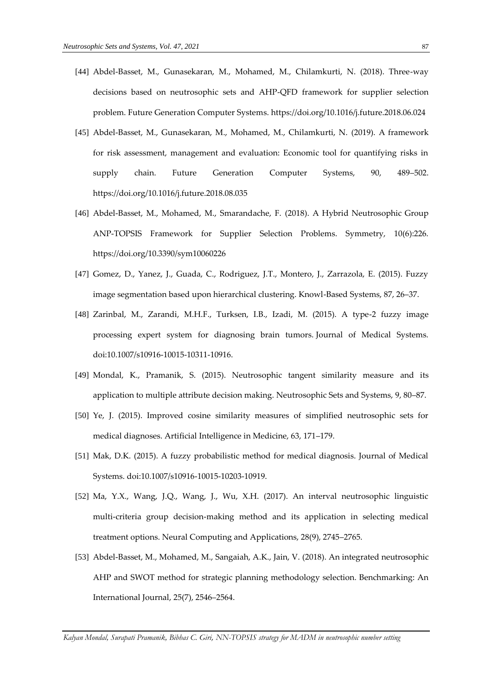- [44] Abdel-Basset, M., Gunasekaran, M., Mohamed, M., Chilamkurti, N. (2018). Three-way decisions based on neutrosophic sets and AHP-QFD framework for supplier selection problem. Future Generation Computer Systems. <https://doi.org/10.1016/j.future.2018.06.024>
- [45] Abdel-Basset, M., Gunasekaran, M., Mohamed, M., Chilamkurti, N. (2019). A framework for risk assessment, management and evaluation: Economic tool for quantifying risks in supply chain. Future Generation Computer Systems, 90, 489–502. <https://doi.org/10.1016/j.future.2018.08.035>
- [46] Abdel-Basset, M., Mohamed, M., Smarandache, F. (2018). A Hybrid Neutrosophic Group ANP-TOPSIS Framework for Supplier Selection Problems. Symmetry, 10(6):226. <https://doi.org/10.3390/sym10060226>
- [47] Gomez, D., Yanez, J., Guada, C., Rodriguez, J.T., Montero, J., Zarrazola, E. (2015). Fuzzy image segmentation based upon hierarchical clustering. Knowl-Based Systems, 87, 26–37.
- [48] Zarinbal, M., Zarandi, M.H.F., Turksen, I.B., Izadi, M. (2015). A type-2 fuzzy image processing expert system for diagnosing brain tumors. Journal of Medical Systems. doi:10.1007/s10916-10015-10311-10916.
- [49] Mondal, K., Pramanik, S. (2015). Neutrosophic tangent similarity measure and its application to multiple attribute decision making. Neutrosophic Sets and Systems, 9, 80–87.
- [50] Ye, J. (2015). Improved cosine similarity measures of simplified neutrosophic sets for medical diagnoses. Artificial Intelligence in Medicine, 63, 171–179.
- [51] Mak, D.K. (2015). A fuzzy probabilistic method for medical diagnosis. Journal of Medical Systems. doi:10.1007/s10916-10015-10203-10919.
- [52] Ma, Y.X., Wang, J.Q., Wang, J., Wu, X.H. (2017). An interval neutrosophic linguistic multi-criteria group decision-making method and its application in selecting medical treatment options. Neural Computing and Applications, 28(9), 2745–2765.
- [53] Abdel-Basset, M., Mohamed, M., Sangaiah, A.K., Jain, V. (2018). An integrated neutrosophic AHP and SWOT method for strategic planning methodology selection. Benchmarking: An International Journal, 25(7), 2546–2564.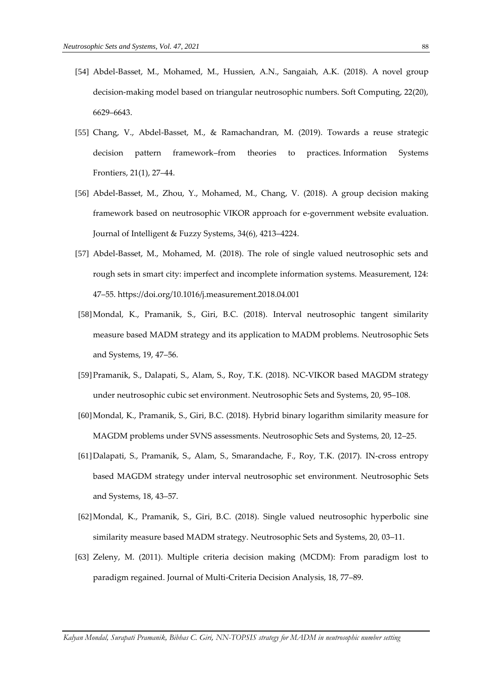- [54] Abdel-Basset, M., Mohamed, M., Hussien, A.N., Sangaiah, A.K. (2018). A novel group decision-making model based on triangular neutrosophic numbers. Soft Computing, 22(20), 6629–6643.
- [55] Chang, V., Abdel-Basset, M., & Ramachandran, M. (2019). Towards a reuse strategic decision pattern framework–from theories to practices. Information Systems Frontiers, 21(1), 27–44.
- [56] Abdel-Basset, M., Zhou, Y., Mohamed, M., Chang, V. (2018). A group decision making framework based on neutrosophic VIKOR approach for e-government website evaluation. Journal of Intelligent & Fuzzy Systems, 34(6), 4213–4224.
- [57] Abdel-Basset, M., Mohamed, M. (2018). The role of single valued neutrosophic sets and rough sets in smart city: imperfect and incomplete information systems. Measurement, 124: 47–55. <https://doi.org/10.1016/j.measurement.2018.04.001>
- [58]Mondal, K., Pramanik, S., Giri, B.C. (2018). [Interval neutrosophic tangent similarity](javascript:void(0))  [measure based MADM strategy and its application to MADM problems.](javascript:void(0)) Neutrosophic Sets and Systems, 19, 47–56.
- [59]Pramanik, S., Dalapati, S., Alam, S., Roy, T.K. (2018). [NC-VIKOR based MAGDM strategy](javascript:void(0))  [under neutrosophic cubic set environment.](javascript:void(0)) Neutrosophic Sets and Systems, 20, 95–108.
- [60]Mondal, K., Pramanik, S., Giri, B.C. (2018). [Hybrid binary logarithm similarity measure for](javascript:void(0))  [MAGDM problems under SVNS assessments.](javascript:void(0)) Neutrosophic Sets and Systems, 20, 12–25.
- [61]Dalapati, S., Pramanik, S., Alam, S., Smarandache, F., Roy, T.K. (2017). [IN-cross](javascript:void(0)) entropy [based MAGDM strategy under interval neutrosophic set environment.](javascript:void(0)) Neutrosophic Sets and Systems, 18, 43–57.
- [62]Mondal, K., Pramanik, S., Giri, B.C. (2018). [Single valued neutrosophic hyperbolic sine](javascript:void(0))  [similarity measure based MADM strategy.](javascript:void(0)) Neutrosophic Sets and Systems, 20, 03–11.
- [63] Zeleny, M. (2011). Multiple criteria decision making (MCDM): From paradigm lost to paradigm regained. Journal of Multi-Criteria Decision Analysis, 18, 77–89.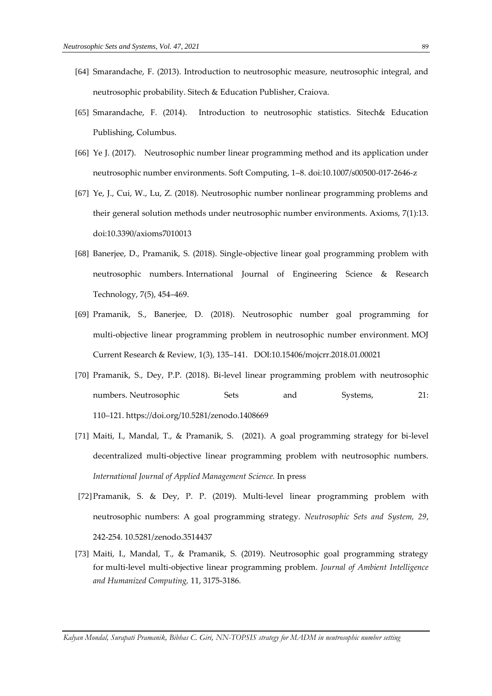- [64] Smarandache, F. (2013). Introduction to neutrosophic measure, neutrosophic integral, and neutrosophic probability. Sitech & Education Publisher, Craiova.
- [65] Smarandache, F. (2014). Introduction to neutrosophic statistics. Sitech& Education Publishing, Columbus.
- [66] Ye J. (2017). Neutrosophic number linear programming method and its application under neutrosophic number environments. Soft Computing, 1–8. doi:10.1007/s00500-017-2646-z
- [67] Ye, J., Cui, W., Lu, Z. (2018). Neutrosophic number nonlinear programming problems and their general solution methods under neutrosophic number environments. Axioms, 7(1):13. doi:10.3390/axioms7010013
- [68] Banerjee, D., Pramanik, S. (2018). Single-objective linear goal programming problem with neutrosophic numbers. International Journal of Engineering Science & Research Technology, 7(5), 454–469.
- [69] Pramanik, S., Banerjee, D. (2018). Neutrosophic number goal programming for multi-objective linear programming problem in neutrosophic number environment. MOJ Current Research & Review, 1(3), 135–141. DOI:10.15406/mojcrr.2018.01.00021
- [70] Pramanik, S., Dey, P.P. (2018). Bi-level linear programming problem with neutrosophic numbers. Neutrosophic Sets and Systems, 21: 110–121. <https://doi.org/10.5281/zenodo.1408669>
- [71] Maiti, I., Mandal, T., & Pramanik, S. (2021). A goal programming strategy for bi-level decentralized multi-objective linear programming problem with neutrosophic numbers. *International Journal of Applied Management Science.* In press
- [72]Pramanik, S. & Dey, P. P. (2019). Multi-level linear programming problem with neutrosophic numbers: A goal programming strategy. *Neutrosophic Sets and System, 29*, 242-254. [10.5281/zenodo.3514437](https://zenodo.org/record/3514437#.XazzcOgzbIU)
- [73] Maiti, I., Mandal, T., & Pramanik, S. (2019). Neutrosophic goal programming strategy for multi-level multi-objective linear programming problem. *Journal of Ambient Intelligence and Humanized Computing,* 11, 3175-3186*.*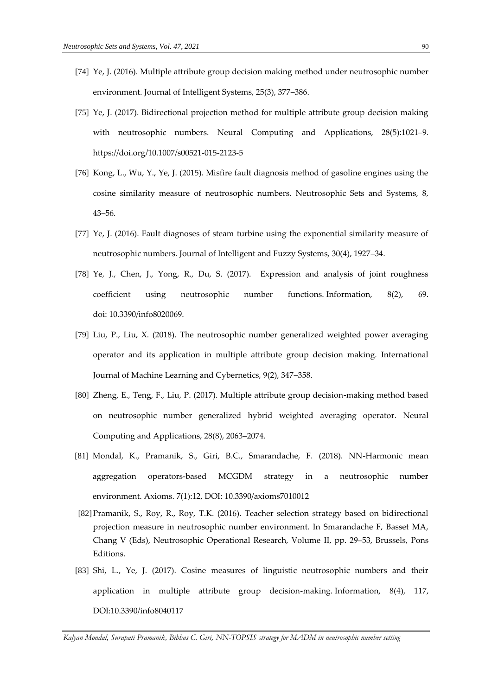- [74] Ye, J. (2016). Multiple attribute group decision making method under neutrosophic number environment. Journal of Intelligent Systems, 25(3), 377–386.
- [75] Ye, J. (2017). Bidirectional projection method for multiple attribute group decision making with neutrosophic numbers. Neural Computing and Applications, 28(5):1021-9. <https://doi.org/10.1007/s00521-015-2123-5>
- [76] Kong, L., Wu, Y., Ye, J. (2015). Misfire fault diagnosis method of gasoline engines using the cosine similarity measure of neutrosophic numbers. Neutrosophic Sets and Systems, 8, 43–56.
- [77] Ye, J. (2016). Fault diagnoses of steam turbine using the exponential similarity measure of neutrosophic numbers. Journal of Intelligent and Fuzzy Systems, 30(4), 1927–34.
- [78] Ye, J., Chen, J., Yong, R., Du, S. (2017). Expression and analysis of joint roughness coefficient using neutrosophic number functions. Information, 8(2), 69. doi: 10.3390/info8020069.
- [79] Liu, P., Liu, X. (2018). The neutrosophic number generalized weighted power averaging operator and its application in multiple attribute group decision making. International Journal of Machine Learning and Cybernetics, 9(2), 347–358.
- [80] Zheng, E., Teng, F., Liu, P. (2017). Multiple attribute group decision-making method based on neutrosophic number generalized hybrid weighted averaging operator. Neural Computing and Applications, 28(8), 2063–2074.
- [81] Mondal, K., Pramanik, S., Giri, B.C., Smarandache, F. (2018). NN-Harmonic mean aggregation operators-based MCGDM strategy in a neutrosophic number environment. Axioms. 7(1):12, DOI: 10.3390/axioms7010012
- [82]Pramanik, S., Roy, R., Roy, T.K. (2016). Teacher selection strategy based on bidirectional projection measure in neutrosophic number environment. In Smarandache F, Basset MA, Chang V (Eds), Neutrosophic Operational Research, Volume II, pp. 29–53, Brussels, Pons Editions.
- [83] Shi, L., Ye, J. (2017). Cosine measures of linguistic neutrosophic numbers and their application in multiple attribute group decision-making. Information, 8(4), 117, DOI:10.3390/info8040117

*Kalyan Mondal, Surapati Pramanik, Bibhas C. Giri, NN-TOPSIS strategy for MADM in neutrosophic number setting*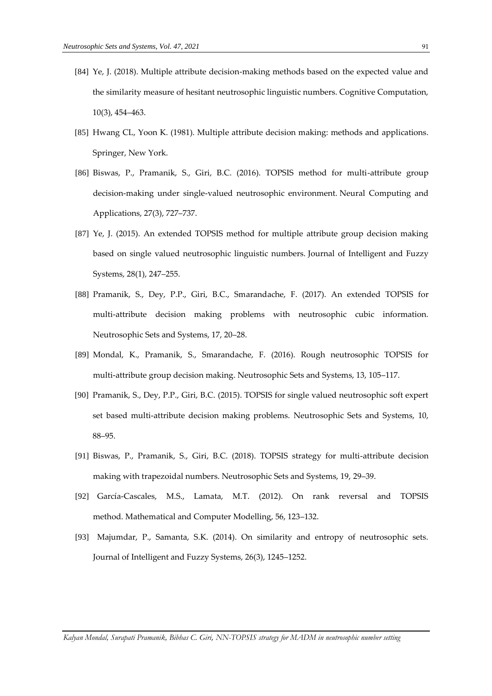- [84] Ye, J. (2018). Multiple attribute decision-making methods based on the expected value and the similarity measure of hesitant neutrosophic linguistic numbers. Cognitive Computation, 10(3), 454–463.
- [85] Hwang CL, Yoon K. (1981). Multiple attribute decision making: methods and applications. Springer, New York.
- [86] Biswas, P., Pramanik, S., Giri, B.C. (2016). TOPSIS method for multi-attribute group decision-making under single-valued neutrosophic environment. Neural Computing and Applications, 27(3), 727–737.
- [87] Ye, J. (2015). An extended TOPSIS method for multiple attribute group decision making based on single valued neutrosophic linguistic numbers. Journal of Intelligent and Fuzzy Systems, 28(1), 247–255.
- [88] Pramanik, S., Dey, P.P., Giri, B.C., Smarandache, F. (2017). An extended TOPSIS for multi-attribute decision making problems with neutrosophic cubic information. Neutrosophic Sets and Systems, 17, 20–28.
- [89] Mondal, K., Pramanik, S., Smarandache, F. (2016). Rough neutrosophic TOPSIS for multi-attribute group decision making. Neutrosophic Sets and Systems, 13, 105–117.
- [90] Pramanik, S., Dey, P.P., Giri, B.C. (2015). TOPSIS for single valued neutrosophic soft expert set based multi-attribute decision making problems. Neutrosophic Sets and Systems, 10, 88–95.
- [91] Biswas, P., Pramanik, S., Giri, B.C. (2018). TOPSIS strategy for multi-attribute decision making with trapezoidal numbers. Neutrosophic Sets and Systems, 19, 29–39.
- [92] García-Cascales, M.S., Lamata, M.T. (2012). On rank reversal and TOPSIS method. Mathematical and Computer Modelling, 56, 123–132.
- [93] Majumdar, P., Samanta, S.K. (2014). On similarity and entropy of neutrosophic sets. Journal of Intelligent and Fuzzy Systems, 26(3), 1245–1252.